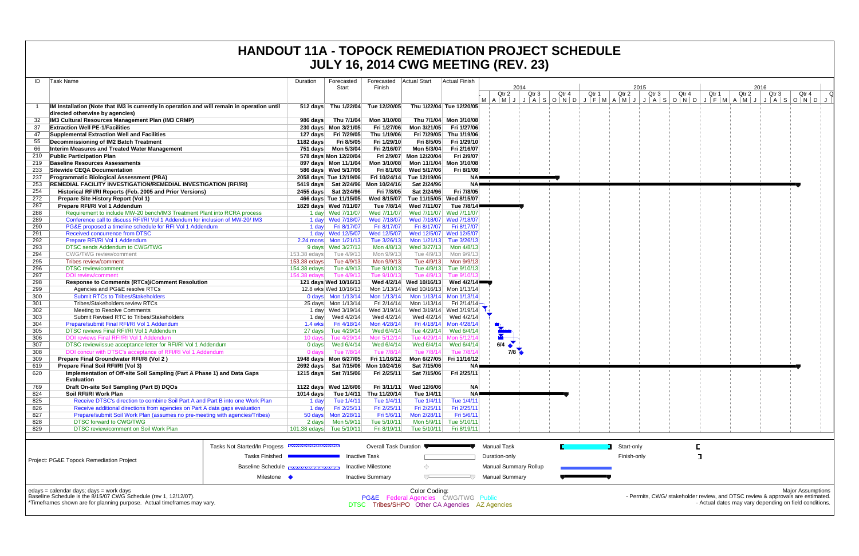|            |                                                                                                                                                                                        |              |                                                             |                            |                                                                                                         |                                                  | <b>JULY 16, 2014 CWG MEETING (REV. 23)</b>              |       |       |       |             |                                                                                |       |       |       |                  |                                                                                    |  |
|------------|----------------------------------------------------------------------------------------------------------------------------------------------------------------------------------------|--------------|-------------------------------------------------------------|----------------------------|---------------------------------------------------------------------------------------------------------|--------------------------------------------------|---------------------------------------------------------|-------|-------|-------|-------------|--------------------------------------------------------------------------------|-------|-------|-------|------------------|------------------------------------------------------------------------------------|--|
| ID         | Task Name                                                                                                                                                                              | Duration     | Forecasted<br>Start                                         | Finish                     | Forecasted Actual Start                                                                                 | Actual Finish                                    | 2014                                                    |       |       |       |             | 2015                                                                           |       |       |       | 2016             |                                                                                    |  |
|            |                                                                                                                                                                                        |              |                                                             |                            |                                                                                                         |                                                  | Qtr 2<br>MAMUUIASOMONOUFIMAMUUIASOMONOUFIMAMUUUASOMONOU | Qtr 3 | Qtr 4 | Qtr 1 | Qtr 2       | Qtr 3                                                                          | Qtr 4 | Qtr 1 | Qtr 2 | Qtr <sub>3</sub> | Qtr 4                                                                              |  |
|            | IM Installation (Note that IM3 is currently in operation and will remain in operation until<br>directed otherwise by agencies)                                                         |              | 512 days Thu 1/22/04 Tue 12/20/05                           |                            |                                                                                                         | Thu 1/22/04 Tue 12/20/05                         |                                                         |       |       |       |             |                                                                                |       |       |       |                  |                                                                                    |  |
|            | IM3 Cultural Resources Management Plan (IM3 CRMP)                                                                                                                                      | 986 days     | Thu 7/1/04                                                  | Mon 3/10/08                |                                                                                                         | Thu 7/1/04 Mon 3/10/08                           |                                                         |       |       |       |             |                                                                                |       |       |       |                  |                                                                                    |  |
| 37         | <b>Extraction Well PE-1/Facilities</b>                                                                                                                                                 |              | 230 days Mon 3/21/05                                        | Fri 1/27/06                | Mon 3/21/05                                                                                             | Fri 1/27/06                                      |                                                         |       |       |       |             |                                                                                |       |       |       |                  |                                                                                    |  |
| 47         | Supplemental Extraction Well and Facilities<br>Decommissioning of IM2 Batch Treatment                                                                                                  | 1182 days    | 127 days Fri 7/29/05<br>Fri 8/5/05                          | Thu 1/19/06<br>Fri 1/29/10 | Fri 8/5/05                                                                                              | Fri 7/29/05 Thu 1/19/06<br>Fri 1/29/10           |                                                         |       |       |       |             |                                                                                |       |       |       |                  |                                                                                    |  |
| 66         | Interim Measures and Treated Water Management                                                                                                                                          |              |                                                             | Fri 2/16/07                | Mon 5/3/04                                                                                              | Fri 2/16/07                                      |                                                         |       |       |       |             |                                                                                |       |       |       |                  |                                                                                    |  |
| 210        | <b>Public Participation Plan</b>                                                                                                                                                       |              | 578 days Mon 12/20/04                                       |                            | Fri 2/9/07 Mon 12/20/04                                                                                 | Fri 2/9/07                                       |                                                         |       |       |       |             |                                                                                |       |       |       |                  |                                                                                    |  |
| 219        | <b>Baseline Resources Assessments</b>                                                                                                                                                  |              | 897 days  Mon 11/1/04                                       | Mon 3/10/08                |                                                                                                         | Mon 11/1/04 Mon 3/10/08                          |                                                         |       |       |       |             |                                                                                |       |       |       |                  |                                                                                    |  |
| 233        | Sitewide CEQA Documentation                                                                                                                                                            |              | 586 days Wed 5/17/06                                        | Fri 8/1/08                 | Wed 5/17/06                                                                                             | Fri 8/1/08                                       |                                                         |       |       |       |             |                                                                                |       |       |       |                  |                                                                                    |  |
| 237        | <b>Programmatic Biological Assessment (PBA)</b>                                                                                                                                        |              | 2058 days Tue 12/19/06                                      |                            | Fri 10/24/14 Tue 12/19/06                                                                               | <b>NA</b>                                        |                                                         |       |       |       |             |                                                                                |       |       |       |                  |                                                                                    |  |
| 253<br>254 | <b>REMEDIAL FACILITY INVESTIGATION/REMEDIAL INVESTIGATION (RFI/RI)</b><br>Historical RFI/RI Reports (Feb. 2005 and Prior Versions)                                                     |              | 5419 days Sat 2/24/96 Mon 10/24/16<br>2455 days Sat 2/24/96 | Fri 7/8/05                 | Sat 2/24/96<br>Sat 2/24/96                                                                              | <b>NA</b><br>Fri 7/8/05                          |                                                         |       |       |       |             |                                                                                |       |       |       |                  |                                                                                    |  |
| 272        | Prepare Site History Report (Vol 1)                                                                                                                                                    |              | 466 days Tue 11/15/05                                       | Wed 8/15/07                | Tue 11/15/05 Wed 8/15/07                                                                                |                                                  |                                                         |       |       |       |             |                                                                                |       |       |       |                  |                                                                                    |  |
| 287        | Prepare RFI/RI Vol 1 Addendum                                                                                                                                                          |              | 1829 days Wed 7/11/07                                       | Tue 7/8/14                 | Wed 7/11/07                                                                                             | Tue 7/8/14∎                                      |                                                         |       |       |       |             |                                                                                |       |       |       |                  |                                                                                    |  |
| 288        | Requirement to include MW-20 bench/IM3 Treatment Plant into RCRA process                                                                                                               |              | 1 day Wed 7/11/07                                           | Wed 7/11/07                |                                                                                                         | Wed 7/11/07 Wed 7/11/07                          |                                                         |       |       |       |             |                                                                                |       |       |       |                  |                                                                                    |  |
| 289        | Conference call to discuss RFI/RI Vol 1 Addendum for inclusion of MW-20/ IM3                                                                                                           |              | 1 day Wed 7/18/07                                           | Wed 7/18/07                |                                                                                                         | Wed 7/18/07 Wed 7/18/07                          |                                                         |       |       |       |             |                                                                                |       |       |       |                  |                                                                                    |  |
| 290        | PG&E proposed a timeline schedule for RFI Vol 1 Addendum                                                                                                                               |              | 1 day Fri 8/17/07                                           | Fri 8/17/07                | Fri 8/17/07                                                                                             | Fri 8/17/07<br>Wed 12/5/07 Wed 12/5/07           |                                                         |       |       |       |             |                                                                                |       |       |       |                  |                                                                                    |  |
| 291<br>292 | Received concurrence from DTSC<br>Prepare RFI/RI Vol 1 Addendum                                                                                                                        |              | 1 day Wed 12/5/07<br>2.24 mons Mon 1/21/13                  | Wed 12/5/07<br>Tue 3/26/13 |                                                                                                         | Mon 1/21/13 Tue 3/26/13                          |                                                         |       |       |       |             |                                                                                |       |       |       |                  |                                                                                    |  |
| 293        | DTSC sends Addendum to CWG/TWG                                                                                                                                                         |              | 9 days Wed 3/27/13                                          | Mon 4/8/13                 | Wed 3/27/13                                                                                             | Mon 4/8/13                                       |                                                         |       |       |       |             |                                                                                |       |       |       |                  |                                                                                    |  |
| 294        | <b>CWG/TWG</b> review/comment                                                                                                                                                          | 153.38 edays | Tue 4/9/13                                                  | Mon 9/9/13                 | Tue 4/9/13                                                                                              | Mon 9/9/13                                       |                                                         |       |       |       |             |                                                                                |       |       |       |                  |                                                                                    |  |
| 295        | Tribes review/comment                                                                                                                                                                  | 153.38 edays | Tue 4/9/13                                                  | Mon 9/9/13                 | Tue 4/9/13                                                                                              | Mon 9/9/13                                       |                                                         |       |       |       |             |                                                                                |       |       |       |                  |                                                                                    |  |
| 296        | <b>DTSC</b> review/comment                                                                                                                                                             | 154.38 edays | Tue 4/9/13                                                  | Tue 9/10/13                |                                                                                                         | Tue 4/9/13 Tue 9/10/13                           |                                                         |       |       |       |             |                                                                                |       |       |       |                  |                                                                                    |  |
| 297<br>298 | <b>DOI</b> review/comment<br><b>Response to Comments (RTCs)/Comment Resolution</b>                                                                                                     | 154.38 edays | Tue 4/9/13<br>121 days Wed 10/16/13                         | Tue 9/10/13                | Tue 4/9/13<br>Wed 4/2/14 Wed 10/16/13                                                                   | Tue 9/10/1<br>Wed 4/2/14                         |                                                         |       |       |       |             |                                                                                |       |       |       |                  |                                                                                    |  |
| 299        | Agencies and PG&E resolve RTCs                                                                                                                                                         |              | 12.8 wks Wed 10/16/13                                       |                            | Mon 1/13/14 Wed 10/16/13 Mon 1/13/14                                                                    |                                                  |                                                         |       |       |       |             |                                                                                |       |       |       |                  |                                                                                    |  |
| 300        | <b>Submit RTCs to Tribes/Stakeholders</b>                                                                                                                                              |              | 0 days $\mid$ Mon 1/13/14                                   |                            | Mon 1/13/14 Mon 1/13/14 Mon 1/13/14                                                                     |                                                  |                                                         |       |       |       |             |                                                                                |       |       |       |                  |                                                                                    |  |
| 301        | Tribes/Stakeholders review RTCs                                                                                                                                                        |              | 25 days Mon 1/13/14                                         |                            | Fri 2/14/14 Mon 1/13/14                                                                                 | Fri 2/14/14 <del>∣</del>                         |                                                         |       |       |       |             |                                                                                |       |       |       |                  |                                                                                    |  |
| 302        | Meeting to Resolve Comments                                                                                                                                                            |              | 1 day Wed 3/19/14                                           | Wed 3/19/14                |                                                                                                         | Wed 3/19/14 Wed 3/19/14 $\rightarrow$            |                                                         |       |       |       |             |                                                                                |       |       |       |                  |                                                                                    |  |
| 303<br>304 | Submit Revised RTC to Tribes/Stakeholders<br>Prepare/submit Final RFI/RI Vol 1 Addendum                                                                                                | $1.4$ wks    | Fri 4/18/14                                                 | Wed 4/2/14<br>Mon 4/28/14  |                                                                                                         | Wed 4/2/14 Wed 4/2/14<br>Fri 4/18/14 Mon 4/28/14 |                                                         |       |       |       |             |                                                                                |       |       |       |                  |                                                                                    |  |
| 305        | DTSC reviews Final RFI/RI Vol 1 Addendum                                                                                                                                               |              | 27 days Tue 4/29/14                                         | Wed 6/4/14                 |                                                                                                         | Tue 4/29/14 Wed 6/4/14                           |                                                         |       |       |       |             |                                                                                |       |       |       |                  |                                                                                    |  |
| 306        | DOI reviews Final RFI/RI Vol 1 Addendum                                                                                                                                                | 10 days      | Tue 4/29/14                                                 | Mon 5/12/14                |                                                                                                         | Tue 4/29/14 Mon 5/12/14                          |                                                         |       |       |       |             |                                                                                |       |       |       |                  |                                                                                    |  |
| 307        | DTSC review/issue acceptance letter for RFI/RI Vol 1 Addendum                                                                                                                          | 0 days       | Wed 6/4/14                                                  | Wed 6/4/14                 | Wed 6/4/14                                                                                              | Wed 6/4/14                                       | 6/4                                                     |       |       |       |             |                                                                                |       |       |       |                  |                                                                                    |  |
| 308        | DOI concur with DTSC's acceptance of RFI/RI Vol 1 Addendum                                                                                                                             | 0 davs       | Tue 7/8/14                                                  | Tue 7/8/14                 | Tue 7/8/14                                                                                              | Tue 7/8/14                                       | 7/8                                                     |       |       |       |             |                                                                                |       |       |       |                  |                                                                                    |  |
| 309<br>619 | Prepare Final Groundwater RFI/RI (Vol 2)<br>Prepare Final Soil RFI/RI (Vol 3)                                                                                                          |              | 1948 days Mon 6/27/05<br>2692 days Sat 7/15/06 Mon 10/24/16 | Fri 11/16/12               | Sat 7/15/06                                                                                             | Mon 6/27/05 Fri 11/16/12<br>NA-                  |                                                         |       |       |       |             |                                                                                |       |       |       |                  |                                                                                    |  |
| 620        | Implementation of Off-site Soil Sampling (Part A Phase 1) and Data Gaps<br><b>Evaluation</b>                                                                                           |              | 1215 days Sat 7/15/06 Fri 2/25/11                           |                            |                                                                                                         | Sat 7/15/06 Fri 2/25/11                          |                                                         |       |       |       |             |                                                                                |       |       |       |                  |                                                                                    |  |
| 769        | Draft On-site Soil Sampling (Part B) DQOs                                                                                                                                              |              | 1122 days Wed 12/6/06                                       | Fri 3/11/11                | Wed 12/6/06                                                                                             | <b>NA</b>                                        |                                                         |       |       |       |             |                                                                                |       |       |       |                  |                                                                                    |  |
| 824        | Soil RFI/RI Work Plan                                                                                                                                                                  | 1014 days    | Tue 1/4/11                                                  | Thu 11/20/14               | Tue 1/4/11                                                                                              | <b>NA</b>                                        |                                                         |       |       |       |             |                                                                                |       |       |       |                  |                                                                                    |  |
| 825        | Receive DTSC's direction to combine Soil Part A and Part B into one Work Plan                                                                                                          | 1 day        | Tue 1/4/11                                                  | Tue 1/4/11                 | Tue 1/4/11                                                                                              | Tue 1/4/11                                       |                                                         |       |       |       |             |                                                                                |       |       |       |                  |                                                                                    |  |
| 826<br>827 | Receive additional directions from agencies on Part A data gaps evaluation<br>Prepare/submit Soil Work Plan (assumes no pre-meeting with agencies/Tribes)                              | 1 day        | Fri 2/25/11<br>50 days Mon 2/28/11                          | Fri 2/25/11<br>Fri 5/6/11  | Fri 2/25/11<br>Mon 2/28/11                                                                              | Fri 2/25/11<br>Fri 5/6/1                         |                                                         |       |       |       |             |                                                                                |       |       |       |                  |                                                                                    |  |
| 828        | <b>DTSC forward to CWG/TWG</b>                                                                                                                                                         |              |                                                             | Tue 5/10/11                | Mon 5/9/11                                                                                              | Tue 5/10/11                                      |                                                         |       |       |       |             |                                                                                |       |       |       |                  |                                                                                    |  |
| 829        | <b>DTSC review/comment on Soil Work Plan</b>                                                                                                                                           |              | 101.38 edays Tue 5/10/11                                    | Fri 8/19/11                | Tue 5/10/11                                                                                             | Fri 8/19/11                                      |                                                         |       |       |       |             |                                                                                |       |       |       |                  |                                                                                    |  |
|            | Tasks Not Started/In Progess                                                                                                                                                           |              |                                                             | Overall Task Duration      |                                                                                                         |                                                  | <b>Manual Task</b>                                      |       |       |       | Start-only  |                                                                                |       |       |       |                  |                                                                                    |  |
|            | <b>Tasks Finished</b>                                                                                                                                                                  |              |                                                             | <b>Inactive Task</b>       |                                                                                                         |                                                  | Duration-only                                           |       |       |       | Finish-only |                                                                                |       |       |       |                  |                                                                                    |  |
|            | Project: PG&E Topock Remediation Project<br><b>Baseline Schedule</b>                                                                                                                   |              |                                                             | Inactive Milestone         | $\langle \rangle$                                                                                       |                                                  | <b>Manual Summary Rollup</b>                            |       |       |       |             |                                                                                |       |       |       |                  |                                                                                    |  |
|            | Milestone •                                                                                                                                                                            |              |                                                             | <b>Inactive Summary</b>    |                                                                                                         |                                                  | <b>Manual Summary</b>                                   |       |       |       |             |                                                                                |       |       |       |                  |                                                                                    |  |
|            | edays = calendar days; days = work days<br>Baseline Schedule is the 8/15/07 CWG Schedule (rev 1, 12/12/07).<br>*Timeframes shown are for planning purpose. Actual timeframes may vary. |              |                                                             |                            | Color Coding:<br>PG&E Federal Agencies CWG/TWG Public<br>DTSC Tribes/SHPO Other CA Agencies AZ Agencies |                                                  |                                                         |       |       |       |             | - Permits, CWG/ stakeholder review, and DTSC review & approvals are estimated. |       |       |       |                  | <b>Major Assumptions</b><br>- Actual dates may vary depending on field conditions. |  |

|                                                                                                                                                                                        | <b>Tasks Not Started/In Progess</b> | ,,,,,,,,,,,,,,,,,,,,,,,,,,,,,,                  | Overall Task Duration                                                                             |               | Manual Task           | Start- |
|----------------------------------------------------------------------------------------------------------------------------------------------------------------------------------------|-------------------------------------|-------------------------------------------------|---------------------------------------------------------------------------------------------------|---------------|-----------------------|--------|
| Project: PG&E Topock Remediation Project                                                                                                                                               | Tasks Finished                      |                                                 | <b>Inactive Task</b>                                                                              |               | Duration-only         | Finish |
|                                                                                                                                                                                        |                                     | Baseline Schedule <del>managements and an</del> | Inactive Milestone                                                                                | ⇔             | Manual Summary Rollup |        |
|                                                                                                                                                                                        | Milestone <                         |                                                 | <b>Inactive Summary</b>                                                                           |               | Manual Summarv        |        |
| edays = calendar days; days = work days<br>Baseline Schedule is the 8/15/07 CWG Schedule (rev 1, 12/12/07).<br>*Timeframes shown are for planning purpose. Actual timeframes may vary. |                                     |                                                 | <b>PG&amp;E</b> Federal Agencies CWG/TWG Public<br>DTSC Tribes/SHPO Other CA Agencies AZ Agencies | Color Coding: |                       | - P    |

# **HANDOUT 11A - TOPOCK REMEDIATION PROJECT SCHEDULE**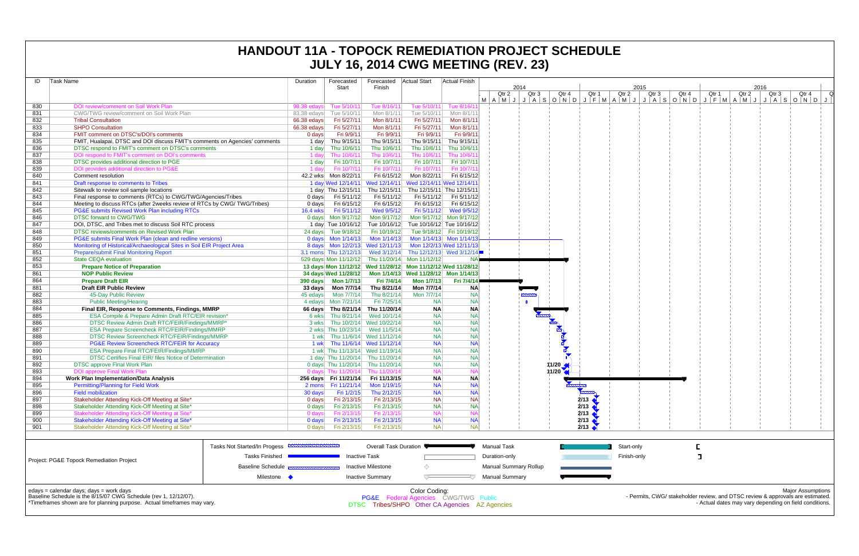| ID  | Task Name                                                                                                                                                                                   | Duration        | Forecasted            | Forecasted                           | <b>Actual Start</b>                                                                                     | Actual Finish              |                                     |                       |       |               |                                                                                |                                                        |                  |                          |                          |   |
|-----|---------------------------------------------------------------------------------------------------------------------------------------------------------------------------------------------|-----------------|-----------------------|--------------------------------------|---------------------------------------------------------------------------------------------------------|----------------------------|-------------------------------------|-----------------------|-------|---------------|--------------------------------------------------------------------------------|--------------------------------------------------------|------------------|--------------------------|--------------------------|---|
|     |                                                                                                                                                                                             |                 | Start                 | Finish                               |                                                                                                         |                            | 2014<br>Qtr <sub>3</sub><br>Qtr 2   | Qtr 4                 | Qtr 1 | 2015<br>Qtr 2 | Qtr <sub>3</sub><br>Qtr 4                                                      | Qtr 1                                                  | Qtr <sub>2</sub> | 2016<br>Qtr <sub>3</sub> | Qtr 4                    | Q |
| 830 | DOI review/comment on Soil Work Plan                                                                                                                                                        | 98.38 edays     | Tue 5/10/11           | Tue 8/16/11                          | Tue 5/10/11                                                                                             | Tue 8/16/11                | MAMJJASONDJFMAMJJASONDJFMAMJJASONDJ |                       |       |               |                                                                                |                                                        |                  |                          |                          |   |
| 831 | CWG/TWG review/comment on Soil Work Plan                                                                                                                                                    | 83.38 edavs     | Tue 5/10/11           | Mon 8/1/11                           | Tue 5/10/11                                                                                             | Mon 8/1/11                 |                                     |                       |       |               |                                                                                |                                                        |                  |                          |                          |   |
| 832 | <b>Tribal Consultation</b>                                                                                                                                                                  | 66.38 edays     | Fri 5/27/11           | Mon 8/1/11                           | Fri 5/27/11                                                                                             | Mon 8/1/11                 |                                     |                       |       |               |                                                                                |                                                        |                  |                          |                          |   |
| 833 | <b>SHPO Consultation</b>                                                                                                                                                                    | 66.38 edays     | Fri 5/27/11           | Mon 8/1/11                           | Fri 5/27/11                                                                                             | Mon 8/1/11                 |                                     |                       |       |               |                                                                                |                                                        |                  |                          |                          |   |
| 834 | <b>FMIT comment on DTSC's/DOI's comments</b>                                                                                                                                                | 0 days          | Fri 9/9/11            | Fri 9/9/11                           | Fri 9/9/11                                                                                              | Fri 9/9/11                 |                                     |                       |       |               |                                                                                |                                                        |                  |                          |                          |   |
| 835 | FMIT, Hualapai, DTSC and DOI discuss FMIT's comments on Agencies' comments                                                                                                                  | 1 day           | Thu 9/15/11           | Thu 9/15/11                          | Thu 9/15/11                                                                                             | Thu 9/15/11                |                                     |                       |       |               |                                                                                |                                                        |                  |                          |                          |   |
| 836 | DTSC respond to FMIT's comment on DTSC's comments                                                                                                                                           |                 | 1 day Thu 10/6/11     | Thu 10/6/11                          |                                                                                                         | Thu 10/6/11 Thu 10/6/1     |                                     |                       |       |               |                                                                                |                                                        |                  |                          |                          |   |
| 837 | DOI respond to FMIT's comment on DOI's comments                                                                                                                                             | 1 davl          | Thu 10/6/11           | Thu 10/6/11                          | Thu 10/6/11                                                                                             | Thu 10/6/1                 |                                     |                       |       |               |                                                                                |                                                        |                  |                          |                          |   |
| 838 | DTSC provides additional direction to PGE                                                                                                                                                   | 1 day           | Fri 10/7/11           | Fri 10/7/11                          | Fri 10/7/11                                                                                             | Fri 10/7/11                |                                     |                       |       |               |                                                                                |                                                        |                  |                          |                          |   |
| 839 | DOI provides additional direction to PG&E                                                                                                                                                   | 1 dav           | Fri 10/7/11           | Fri 10/7/11                          | Fri 10/7/11                                                                                             | Fri 10/7/1                 |                                     |                       |       |               |                                                                                |                                                        |                  |                          |                          |   |
| 840 | Comment resolution                                                                                                                                                                          |                 | 42.2 wks Mon 8/22/11  | Fri 6/15/12                          |                                                                                                         | Mon 8/22/11 Fri 6/15/12    |                                     |                       |       |               |                                                                                |                                                        |                  |                          |                          |   |
| 841 | Draft response to comments to Tribes                                                                                                                                                        |                 |                       |                                      | 1 day Wed 12/14/11 Wed 12/14/11 Wed 12/14/11 Wed 12/14/1                                                |                            |                                     |                       |       |               |                                                                                |                                                        |                  |                          |                          |   |
| 842 | Sitewalk to review soil sample locations                                                                                                                                                    |                 |                       |                                      | 1 day Thu 12/15/11 Thu 12/15/11 Thu 12/15/11 Thu 12/15/11                                               |                            |                                     |                       |       |               |                                                                                |                                                        |                  |                          |                          |   |
| 843 | Final response to comments (RTCs) to CWG/TWG/Agencies/Tribes                                                                                                                                |                 | 0 days Fri 5/11/12    | Fri 5/11/12                          | Fri 5/11/12                                                                                             | Fri 5/11/12                |                                     |                       |       |               |                                                                                |                                                        |                  |                          |                          |   |
| 844 | Meeting to discuss RTCs (after 2weeks review of RTCs by CWG/ TWG/Tribes)                                                                                                                    | 0 days          | Fri 6/15/12           | Fri 6/15/12                          |                                                                                                         | Fri 6/15/12   Fri 6/15/12  |                                     |                       |       |               |                                                                                |                                                        |                  |                          |                          |   |
| 845 | PG&E submits Revised Work Plan including RTCs                                                                                                                                               | <b>16.4 wks</b> | Fri 5/11/12           | Wed 9/5/12                           |                                                                                                         | Fri 5/11/12 Wed 9/5/12     |                                     |                       |       |               |                                                                                |                                                        |                  |                          |                          |   |
| 846 | <b>DTSC forward to CWG/TWG</b>                                                                                                                                                              |                 |                       | 0 days    Mon 9/17/12    Mon 9/17/12 |                                                                                                         | Mon 9/17/12 Mon 9/17/12    |                                     |                       |       |               |                                                                                |                                                        |                  |                          |                          |   |
| 847 | DOI, DTSC, and Tribes met to discuss Soil RTC process                                                                                                                                       |                 |                       |                                      | 1 day Tue 10/16/12 Tue 10/16/12 Tue 10/16/12 Tue 10/16/12                                               |                            |                                     |                       |       |               |                                                                                |                                                        |                  |                          |                          |   |
| 848 | DTSC reviews/comments on Revised Work Plan                                                                                                                                                  |                 |                       | 24 days Tue 9/18/12 Fri 10/19/12     |                                                                                                         | Tue 9/18/12   Fri 10/19/12 |                                     |                       |       |               |                                                                                |                                                        |                  |                          |                          |   |
| 849 | PG&E submits Final Work Plan (clean and redline versions)                                                                                                                                   |                 |                       |                                      | 0 days  Mon 1/14/13  Mon 1/14/13  Mon 1/14/13  Mon 1/14/13                                              |                            |                                     |                       |       |               |                                                                                |                                                        |                  |                          |                          |   |
| 850 | Monitoring of Historical/Archaeological Sites in Soil EIR Project Area                                                                                                                      |                 |                       |                                      | 8 days Mon 12/2/13 Wed 12/11/13 Mon 12/2/13 Wed 12/11/13                                                |                            |                                     |                       |       |               |                                                                                |                                                        |                  |                          |                          |   |
| 851 | <b>Prepare/submit Final Monitoring Report</b>                                                                                                                                               |                 |                       |                                      | 3.1 mons Thu 12/12/13 Wed 3/12/14 Thu 12/12/13 Wed 3/12/14                                              |                            |                                     |                       |       |               |                                                                                |                                                        |                  |                          |                          |   |
| 852 | <b>State CEQA evaluation</b>                                                                                                                                                                |                 |                       |                                      | 529 days Mon 11/12/12 Thu 11/20/14 Mon 11/12/12                                                         |                            |                                     |                       |       |               |                                                                                |                                                        |                  |                          |                          |   |
| 853 | <b>Prepare Notice of Preparation</b>                                                                                                                                                        |                 |                       |                                      | 13 days Mon 11/12/12 Wed 11/28/12 Mon 11/12/12 Wed 11/28/12                                             |                            |                                     |                       |       |               |                                                                                |                                                        |                  |                          |                          |   |
| 861 | <b>NOP Public Review</b>                                                                                                                                                                    |                 |                       |                                      |                                                                                                         |                            |                                     |                       |       |               |                                                                                |                                                        |                  |                          |                          |   |
| 864 | <b>Prepare Draft EIR</b>                                                                                                                                                                    |                 |                       | Fri 7/4/14                           | <b>Mon 1/7/13</b>                                                                                       | Fri 7/4/14                 |                                     |                       |       |               |                                                                                |                                                        |                  |                          |                          |   |
| 881 | <b>Draft EIR Public Review</b>                                                                                                                                                              |                 |                       | Thu 8/21/14                          | Mon 7/7/14                                                                                              | <b>NA</b>                  |                                     |                       |       |               |                                                                                |                                                        |                  |                          |                          |   |
| 882 | 45-Day Public Review                                                                                                                                                                        |                 |                       | Thu 8/21/14                          | Mon 7/7/14                                                                                              | <b>NA</b>                  |                                     |                       |       |               |                                                                                |                                                        |                  |                          |                          |   |
| 883 | <b>Public Meeting/Hearing</b>                                                                                                                                                               |                 | 4 edays Mon 7/21/14   | Fri 7/25/14                          | <b>NA</b>                                                                                               | <b>NA</b>                  |                                     |                       |       |               |                                                                                |                                                        |                  |                          |                          |   |
| 884 | Final EIR, Response to Comments, Findings, MMRP                                                                                                                                             |                 |                       | 66 days Thu 8/21/14 Thu 11/20/14     | <b>NA</b>                                                                                               | <b>NA</b>                  |                                     |                       |       |               |                                                                                |                                                        |                  |                          |                          |   |
| 885 | ESA Compile & Prepare Admin Draft RTC/EIR revision*                                                                                                                                         |                 |                       | 6 wks Thu 8/21/14 Wed 10/1/14        | <b>NA</b>                                                                                               | <b>NA</b>                  |                                     |                       |       |               |                                                                                |                                                        |                  |                          |                          |   |
| 886 | DTSC Review Admin Draft RTC/FEIR/Findings/MMRP*                                                                                                                                             |                 |                       | 3 wks Thu 10/2/14 Wed 10/22/14       | <b>NA</b>                                                                                               | <b>NA</b>                  |                                     |                       |       |               |                                                                                |                                                        |                  |                          |                          |   |
| 887 | ESA Prepare Screencheck RTC/FEIR/Findings/MMRP                                                                                                                                              |                 |                       | 2 wks Thu 10/23/14 Wed 11/5/14       | <b>NA</b>                                                                                               | <b>NA</b>                  |                                     |                       |       |               |                                                                                |                                                        |                  |                          |                          |   |
| 888 | DTSC Review Screencheck RTC/FEIR/Findings/MMRP                                                                                                                                              |                 |                       | 1 wk Thu 11/6/14 Wed 11/12/14        | <b>NA</b>                                                                                               | <b>NA</b>                  |                                     |                       |       |               |                                                                                |                                                        |                  |                          |                          |   |
| 889 | <b>PG&amp;E Review Screencheck RTC/FEIR for Accuracy</b>                                                                                                                                    |                 |                       | 1 wk Thu 11/6/14 Wed 11/12/14        | <b>NA</b>                                                                                               | <b>NA</b>                  |                                     |                       |       |               |                                                                                |                                                        |                  |                          |                          |   |
| 890 | <b>ESA Prepare Final RTC/FEIR/Findings/MMRP</b>                                                                                                                                             |                 |                       | 1 wk Thu 11/13/14 Wed 11/19/14       | <b>NA</b>                                                                                               | <b>NA</b>                  |                                     |                       |       |               |                                                                                |                                                        |                  |                          |                          |   |
| 891 | DTSC Certifies Final EIR/ files Notice of Determination                                                                                                                                     |                 |                       | 1 day Thu 11/20/14 Thu 11/20/14      | <b>NA</b>                                                                                               | <b>NA</b>                  |                                     |                       |       |               |                                                                                |                                                        |                  |                          |                          |   |
| 892 | <b>DTSC approve Final Work Plan</b>                                                                                                                                                         |                 |                       | 0 days Thu 11/20/14 Thu 11/20/14     | <b>NA</b>                                                                                               | <b>NA</b>                  |                                     | $11/20$ $\frac{1}{2}$ |       |               |                                                                                |                                                        |                  |                          |                          |   |
| 893 | DOI approve Final Work Plan                                                                                                                                                                 |                 |                       | 0 days Thu 11/20/14 Thu 11/20/14     | <b>NA</b>                                                                                               | N,                         |                                     | 11/20 $\sqrt{ }$      |       |               |                                                                                |                                                        |                  |                          |                          |   |
| 894 | <b>Work Plan Implementation/Data Analysis</b>                                                                                                                                               |                 | 256 days Fri 11/21/14 | Fri 11/13/15                         | <b>NA</b>                                                                                               | <b>NA</b>                  |                                     |                       |       |               |                                                                                |                                                        |                  |                          |                          |   |
| 895 | <b>Permitting/Planning for Field Work</b>                                                                                                                                                   |                 | 2 mons Fri 11/21/14   | Mon 1/19/15                          | <b>NA</b>                                                                                               | <b>NA</b>                  |                                     |                       |       |               |                                                                                |                                                        |                  |                          |                          |   |
| 896 | <b>Field mobilization</b>                                                                                                                                                                   | 30 days         | Fri 1/2/15            | Thu 2/12/15                          | <b>NA</b>                                                                                               | <b>NA</b>                  |                                     |                       |       |               |                                                                                |                                                        |                  |                          |                          |   |
| 897 | Stakeholder Attending Kick-Off Meeting at Site*                                                                                                                                             | 0 days          | Fri 2/13/15           | Fri 2/13/15                          | <b>NA</b>                                                                                               | <b>NA</b>                  |                                     |                       | 2/13  |               |                                                                                |                                                        |                  |                          |                          |   |
| 898 | Stakeholder Attending Kick-Off Meeting at Site*                                                                                                                                             | 0 days          | Fri 2/13/15           | Fri 2/13/15                          | <b>NA</b>                                                                                               | <b>NA</b>                  |                                     |                       | 2/13  |               |                                                                                |                                                        |                  |                          |                          |   |
| 899 | Stakeholder Attending Kick-Off Meeting at Site*                                                                                                                                             | 0 days          | Fri 2/13/15           | Fri 2/13/15                          | <b>NA</b>                                                                                               | $N_A$                      |                                     |                       | 2/13  |               |                                                                                |                                                        |                  |                          |                          |   |
| 900 | Stakeholder Attending Kick-Off Meeting at Site*                                                                                                                                             | 0 days          | Fri 2/13/15           | Fri 2/13/15                          | <b>NA</b>                                                                                               | <b>NA</b>                  |                                     |                       | 2/13  |               |                                                                                |                                                        |                  |                          |                          |   |
| 901 | Stakeholder Attending Kick-Off Meeting at Site*                                                                                                                                             | 0 days          | Fri 2/13/15           | Fri 2/13/15                          | <b>NA</b>                                                                                               | <b>NA</b>                  |                                     |                       | 2/13  |               |                                                                                |                                                        |                  |                          |                          |   |
|     |                                                                                                                                                                                             |                 |                       |                                      |                                                                                                         |                            |                                     |                       |       |               |                                                                                |                                                        |                  |                          |                          |   |
|     | Tasks Not Started/In Progess                                                                                                                                                                |                 |                       | Overall Task Duration                |                                                                                                         |                            | <b>Manual Task</b>                  |                       |       | Start-only    |                                                                                |                                                        |                  |                          |                          |   |
|     | <b>Tasks Finished</b><br>Project: PG&E Topock Remediation Project                                                                                                                           |                 |                       | <b>Inactive Task</b>                 |                                                                                                         |                            | Duration-only                       |                       |       | Finish-only   |                                                                                | ᄀ                                                      |                  |                          |                          |   |
|     | <b>Baseline Schedule</b>                                                                                                                                                                    |                 |                       | Inactive Milestone                   | ◇                                                                                                       |                            | <b>Manual Summary Rollup</b>        |                       |       |               |                                                                                |                                                        |                  |                          |                          |   |
|     |                                                                                                                                                                                             | Milestone •     |                       | <b>Inactive Summary</b>              | $\overline{\phantom{a}}$                                                                                |                            | <b>Manual Summary</b>               |                       |       |               |                                                                                |                                                        |                  |                          |                          |   |
|     | $edays = calendar days$ ; $days = work days$<br>Baseline Schedule is the 8/15/07 CWG Schedule (rev 1, 12/12/07).<br>*Timeframes shown are for planning purpose. Actual timeframes may vary. |                 |                       |                                      | Color Coding:<br>PG&E Federal Agencies CWG/TWG Public<br>DTSC Tribes/SHPO Other CA Agencies AZ Agencies |                            |                                     |                       |       |               | - Permits, CWG/ stakeholder review, and DTSC review & approvals are estimated. | - Actual dates may vary depending on field conditions. |                  |                          | <b>Major Assumptions</b> |   |

|                                                                                                                                                                                        | Tasks Not Started/In Progess<br>                  | Overall Task Duration                          |                                                                  | Manual Task           |  | start⊣ |
|----------------------------------------------------------------------------------------------------------------------------------------------------------------------------------------|---------------------------------------------------|------------------------------------------------|------------------------------------------------------------------|-----------------------|--|--------|
| Project: PG&E Topock Remediation Project                                                                                                                                               | <b>Tasks Finished</b>                             | <b>Inactive Task</b>                           |                                                                  | Duration-only         |  | Finish |
|                                                                                                                                                                                        | Baseline Schedule <del>manuscus assussussus</del> | Inactive Milestone                             |                                                                  | Manual Summary Rollup |  |        |
|                                                                                                                                                                                        | Milestone                                         | <b>Inactive Summary</b>                        |                                                                  | <b>Manual Summary</b> |  |        |
| edays = calendar days; days = work days<br>Baseline Schedule is the 8/15/07 CWG Schedule (rev 1, 12/12/07).<br>*Timeframes shown are for planning purpose. Actual timeframes may vary. |                                                   | DTSC Tribes/SHPO Other CA Agencies AZ Agencies | Color Coding:<br><b>PG&amp;E</b> Federal Agencies CWG/TWG Public |                       |  |        |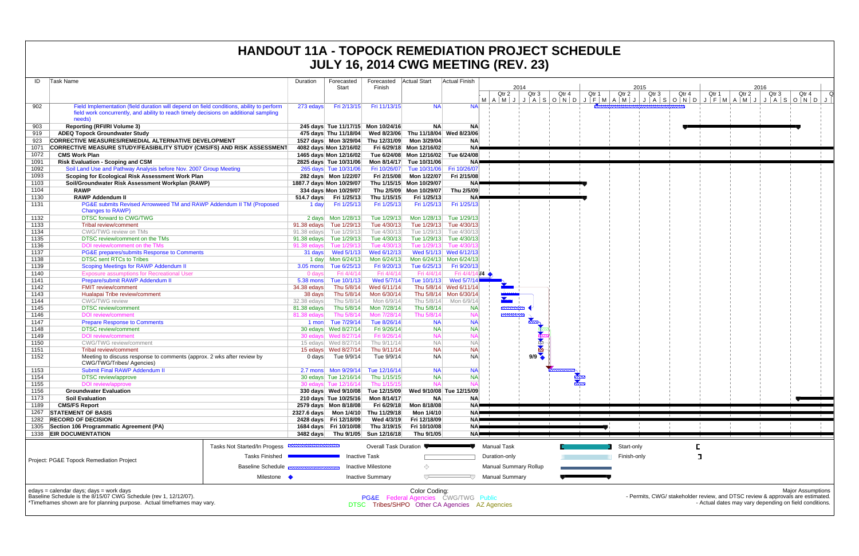| ID           | Task Name                                                                                |                              | Duration    | Forecasted               | Forecasted                         | Actual Start                                   | Actual Finish                                     |                       |               |                              |                        |       |         |
|--------------|------------------------------------------------------------------------------------------|------------------------------|-------------|--------------------------|------------------------------------|------------------------------------------------|---------------------------------------------------|-----------------------|---------------|------------------------------|------------------------|-------|---------|
|              |                                                                                          |                              |             | Start                    | Finish                             |                                                |                                                   |                       | 2014          |                              |                        |       |         |
|              |                                                                                          |                              |             |                          |                                    |                                                |                                                   |                       | Qtr 2         | Qtr 3                        | Qtr 4                  | Qtr 1 | Qtr 2   |
| 902          | Field Implementation (field duration will depend on field conditions, ability to perform |                              | 273 edays   | Fri 2/13/15              | Fri 11/13/15                       | <b>NA</b>                                      | <b>NA</b>                                         |                       |               |                              | $M$  A M J J A S O N D | J     | F M A M |
|              | field work concurrently, and ability to reach timely decisions on additional sampling    |                              |             |                          |                                    |                                                |                                                   |                       |               |                              |                        |       |         |
|              | needs)                                                                                   |                              |             |                          |                                    |                                                |                                                   |                       |               |                              |                        |       |         |
| 903          | <b>Reporting (RFI/RI Volume 3)</b>                                                       |                              |             |                          | 245 days Tue 11/17/15 Mon 10/24/16 | <b>NA</b>                                      | <b>NA</b>                                         |                       |               |                              |                        |       |         |
| 919          | <b>ADEQ Topock Groundwater Study</b>                                                     |                              |             | 475 days Thu 11/18/04    | Wed 8/23/06                        |                                                | Thu 11/18/04 Wed 8/23/06                          |                       |               |                              |                        |       |         |
| 923          | CORRECTIVE MEASURES/REMEDIAL ALTERNATIVE DEVELOPMENT                                     |                              |             | 1527 days  Mon 3/29/04   | Thu 12/31/09                       | Mon 3/29/04                                    | <b>NA</b>                                         |                       |               |                              |                        |       |         |
| 1071         | <b>CORRECTIVE MEASURE STUDY/FEASIBILITY STUDY (CMS/FS) AND RISK ASSESSMENT</b>           |                              |             | 4082 days Mon 12/16/02   |                                    | Fri 6/29/18 Mon 12/16/02                       | <b>NA</b>                                         |                       |               |                              |                        |       |         |
| 1072         | <b>CMS Work Plan</b>                                                                     |                              |             | 1465 days Mon 12/16/02   |                                    | Tue 6/24/08 Mon 12/16/02                       | Tue 6/24/08                                       |                       |               |                              |                        |       |         |
| 1091         | <b>Risk Evaluation - Scoping and CSM</b>                                                 |                              |             | 2825 days Tue 10/31/06   | Mon 8/14/17                        | Tue 10/31/06                                   | <b>NA</b>                                         |                       |               |                              |                        |       |         |
| 1092         | Soil Land Use and Pathway Analysis before Nov. 2007 Group Meeting                        |                              |             | 265 days Tue 10/31/06    | Fri 10/26/07                       | Tue 10/31/06                                   | Fri 10/26/07                                      |                       |               |                              |                        |       |         |
| 1093         | Scoping for Ecological Risk Assessment Work Plan                                         |                              |             | 282 days  Mon 1/22/07    | Fri 2/15/08                        | Mon 1/22/07                                    | Fri 2/15/08                                       |                       |               |                              |                        |       |         |
| 1103         | Soil/Groundwater Risk Assessment Workplan (RAWP)                                         |                              |             | 1887.7 days Mon 10/29/07 |                                    | Thu 1/15/15 Mon 10/29/07                       | <b>NA</b>                                         |                       |               |                              |                        |       |         |
| 1104         | <b>RAWP</b>                                                                              |                              |             | 334 days Mon 10/29/07    |                                    | Thu 2/5/09 Mon 10/29/07                        | Thu 2/5/09                                        |                       |               |                              |                        |       |         |
| 1130         | <b>RAWP Addendum II</b>                                                                  |                              | 514.7 days  | Fri 1/25/13              | Thu 1/15/15                        | Fri 1/25/13                                    | <b>NA</b>                                         |                       |               |                              |                        |       |         |
| 1131         | PG&E submits Revised Arrowweed TM and RAWP Addendum II TM (Proposed                      |                              | 1 day       | Fri 1/25/13              | Fri 1/25/13                        | Fri 1/25/13                                    | Fri 1/25/13                                       |                       |               |                              |                        |       |         |
|              | <b>Changes to RAWP)</b>                                                                  |                              |             |                          |                                    |                                                |                                                   |                       |               |                              |                        |       |         |
| 1132         | DTSC forward to CWG/TWG                                                                  |                              |             | 2 days Mon 1/28/13       | Tue 1/29/13                        | Mon 1/28/13                                    | Tue 1/29/13                                       |                       |               |                              |                        |       |         |
| 1133         | Tribal review/comment                                                                    |                              | 91.38 edays | Tue 1/29/13              | Tue 4/30/13                        | Tue 1/29/13                                    | Tue 4/30/13                                       |                       |               |                              |                        |       |         |
| 1134         | CWG/TWG review on TMs                                                                    |                              | 91.38 edays | Tue 1/29/13              | Tue 4/30/13                        | Tue 1/29/13                                    | Tue 4/30/13                                       |                       |               |                              |                        |       |         |
| 1135         | DTSC review/comment on the TMs                                                           |                              | 91.38 edays | Tue 1/29/13              | Tue 4/30/13                        | Tue 1/29/13                                    | Tue 4/30/13<br>Tue 4/30/1:                        |                       |               |                              |                        |       |         |
| 1136<br>1137 | DOI review/comment on the TMs                                                            |                              | 91.38 edays | Tue 1/29/13              | Tue 4/30/13                        | Tue 1/29/13                                    |                                                   |                       |               |                              |                        |       |         |
| 1138         | PG&E prepares/submits Response to Comments<br><b>DTSC sent RTCs to Tribes</b>            |                              | 31 days     | Wed 5/1/13               | Wed 6/12/13<br>Mon 6/24/13         |                                                | Wed 5/1/13 Wed 6/12/13<br>Mon 6/24/13 Mon 6/24/13 |                       |               |                              |                        |       |         |
| 1139         | Scoping Meetings for RAWP Addendum II                                                    |                              | $3.05$ mons | Tue 6/25/13              | Fri 9/20/13                        | Tue 6/25/13                                    | Fri 9/20/13                                       |                       |               |                              |                        |       |         |
| 1140         | <b>Exposure assumptions for Recreational User</b>                                        |                              | 0 days      | Fri 4/4/14               | Fri 4/4/14                         | Fri 4/4/14                                     | Fri $4/4/14/14$                                   |                       |               |                              |                        |       |         |
| 1141         | Prepare/submit RAWP Addendum II                                                          |                              | 5.38 mons   | Tue 10/1/13              | Wed 5/7/14                         | Tue 10/1/13                                    | Wed 5/7/14                                        |                       |               |                              |                        |       |         |
| 1142         | FMIT review/comment                                                                      |                              | 34.38 edays | Thu 5/8/14               | Wed 6/11/14                        |                                                | Thu 5/8/14 Wed 6/11/14                            |                       |               |                              |                        |       |         |
| 1143         | Hualapai Tribe review/comment                                                            |                              | 38 days     | Thu 5/8/14               | Mon 6/30/14                        |                                                | Thu 5/8/14 Mon 6/30/14                            |                       |               |                              |                        |       |         |
| 1144         | <b>CWG/TWG</b> review                                                                    |                              | 32.38 edays | Thu 5/8/14               | Mon 6/9/14                         | Thu 5/8/14                                     | Mon 6/9/14                                        |                       |               |                              |                        |       |         |
| 1145         | <b>DTSC</b> review/comment                                                               |                              | 81.38 edays | Thu 5/8/14               | Mon 7/28/14                        | Thu 5/8/14                                     | <b>NA</b>                                         |                       | <u>mmmm</u>   |                              |                        |       |         |
| 1146         | <b>DOI</b> review/comment                                                                |                              | 81.38 edays | Thu 5/8/14               | Mon 7/28/14                        | Thu 5/8/14                                     | <b>NA</b>                                         |                       | <b>DOMANY</b> |                              |                        |       |         |
| 1147         | <b>Prepare Response to Comments</b>                                                      |                              | 1 mon       | Tue 7/29/14              | Tue 8/26/14                        | <b>NA</b>                                      | <b>NA</b>                                         |                       |               |                              |                        |       |         |
| 1148         | <b>DTSC</b> review/comment                                                               |                              |             | 30 edays  Wed 8/27/14    | Fri 9/26/14                        | <b>NA</b>                                      | <b>NA</b>                                         |                       |               |                              |                        |       |         |
| 1149         | <b>DOI</b> review/comment                                                                |                              |             | 30 edays  Wed 8/27/14    | Fri 9/26/14                        | <b>NA</b>                                      | <b>NA</b>                                         |                       |               |                              |                        |       |         |
| 1150         | <b>CWG/TWG</b> review/comment                                                            |                              |             | 15 edays  Wed 8/27/14    | Thu 9/11/14                        | <b>NA</b>                                      | <b>NA</b>                                         |                       |               |                              |                        |       |         |
| 1151         | Tribal review/comment                                                                    |                              |             | 15 edays  Wed 8/27/14    | Thu 9/11/14                        | <b>NA</b>                                      | <b>NA</b>                                         |                       |               |                              |                        |       |         |
| 1152         | Meeting to discuss response to comments (approx. 2 wks after review by                   |                              | $0$ days    | Tue 9/9/14               | Tue 9/9/14                         | <b>NA</b>                                      | <b>NA</b>                                         |                       |               | 9/9                          |                        |       |         |
|              | CWG/TWG/Tribes/ Agencies)                                                                |                              |             |                          |                                    |                                                |                                                   |                       |               |                              |                        |       |         |
| 1153         | Submit Final RAWP Addendum II                                                            |                              |             |                          | Tue 12/16/14                       | <b>NA</b>                                      | <b>NA</b>                                         |                       |               |                              |                        |       |         |
| 1154         | <b>DTSC</b> review/approve                                                               |                              |             | 30 edays Tue 12/16/14    | Thu 1/15/15                        | <b>NA</b>                                      | <b>NA</b>                                         |                       |               |                              |                        |       |         |
| 1155         | DOI review/approve                                                                       |                              |             | 30 edays Tue 12/16/14    | Thu 1/15/15                        | <b>NA</b>                                      | <b>NA</b>                                         |                       |               |                              |                        |       |         |
| 1156         | <b>Groundwater Evaluation</b>                                                            |                              |             | 330 days Wed 9/10/08     | Tue 12/15/09                       |                                                | Wed 9/10/08 Tue 12/15/09                          |                       |               |                              |                        |       |         |
| 1173         | <b>Soil Evaluation</b>                                                                   |                              |             | 210 days Tue 10/25/16    | Mon 8/14/17                        | <b>NA</b>                                      | <b>NA</b>                                         |                       |               |                              |                        |       |         |
| 1189         | <b>CMS/FS Report</b>                                                                     |                              |             | 2579 days Mon 8/18/08    | Fri 6/29/18                        | Mon 8/18/08                                    | NA)                                               |                       |               |                              |                        |       |         |
| 1267         | <b>STATEMENT OF BASIS</b>                                                                |                              | 2327.6 days | Mon 1/4/10               | Thu 11/29/18                       | Mon 1/4/10                                     | <b>NA</b>                                         |                       |               |                              |                        |       |         |
| 1282         | <b>RECORD OF DECISION</b>                                                                |                              |             | 2428 days Fri 12/18/09   | Wed 4/3/19                         | Fri 12/18/09                                   | <b>NA</b>                                         |                       |               |                              |                        |       |         |
| 1305         | Section 106 Programmatic Agreement (PA)                                                  |                              |             | 1684 days Fri 10/10/08   | Thu 3/19/15                        | Fri 10/10/08                                   | <b>NA</b>                                         |                       |               |                              |                        |       |         |
| 1338         | <b>EIR DOCUMENTATION</b>                                                                 |                              | 3482 days   | Thu 9/1/05               | Sun 12/16/18                       | Thu 9/1/05                                     | <b>NA</b>                                         |                       |               |                              |                        |       |         |
|              |                                                                                          | Tasks Not Started/In Progess |             |                          | <b>Overall Task Duration</b>       |                                                |                                                   | <b>Manual Task</b>    |               |                              |                        |       | Start   |
|              |                                                                                          |                              |             |                          |                                    |                                                |                                                   |                       |               |                              |                        |       |         |
|              | Project: PG&E Topock Remediation Project                                                 | <b>Tasks Finished</b>        |             |                          | <b>Inactive Task</b>               |                                                |                                                   | Duration-only         |               |                              |                        |       | Finis   |
|              |                                                                                          | <b>Baseline Schedule</b>     |             |                          | <b>Inactive Milestone</b>          | ◇                                              |                                                   |                       |               | <b>Manual Summary Rollup</b> |                        |       |         |
|              |                                                                                          |                              |             |                          |                                    |                                                |                                                   |                       |               |                              |                        |       |         |
|              |                                                                                          | Milestone •                  |             |                          | <b>Inactive Summary</b>            |                                                |                                                   | <b>Manual Summary</b> |               |                              |                        |       |         |
|              | edays = calendar days; days = work days                                                  |                              |             |                          |                                    | Color Coding:                                  |                                                   |                       |               |                              |                        |       |         |
|              | Baseline Schedule is the 8/15/07 CWG Schedule (rev 1, 12/12/07).                         |                              |             |                          |                                    | PG&E Federal Agencies CWG/TWG Public           |                                                   |                       |               |                              |                        |       |         |
|              | *Timeframes shown are for planning purpose. Actual timeframes may vary.                  |                              |             |                          |                                    | DTSC Tribes/SHPO Other CA Agencies AZ Agencies |                                                   |                       |               |                              |                        |       |         |
|              |                                                                                          |                              |             |                          |                                    |                                                |                                                   |                       |               |                              |                        |       |         |

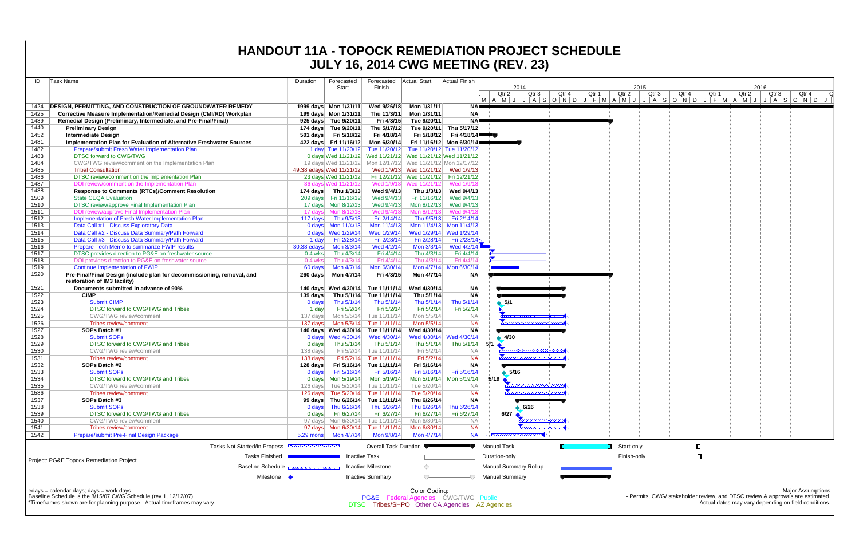| Task Name                                                                                              |                              | Duration    | Forecasted               | Forecasted Actual Start           |                                                                    | Actual Finish           |                                              |                |                                   |       |       |               |                  |       |
|--------------------------------------------------------------------------------------------------------|------------------------------|-------------|--------------------------|-----------------------------------|--------------------------------------------------------------------|-------------------------|----------------------------------------------|----------------|-----------------------------------|-------|-------|---------------|------------------|-------|
|                                                                                                        |                              |             | Start                    | Finish                            |                                                                    |                         | 2014<br>Qtr <sub>2</sub><br>Qtr <sub>3</sub> | Qtr 4<br>Qtr 1 | 2015<br>Qtr <sub>3</sub><br>Qtr 2 | Qtr 4 | Qtr 1 | 2016<br>Qtr 2 | Qtr <sub>3</sub> | Qtr 4 |
| <b>DESIGN. PERMITTING. AND CONSTRUCTION OF GROUNDWATER REMEDY</b>                                      |                              |             | 1999 days Mon 1/31/11    | Wed 9/26/18                       | Mon 1/31/11                                                        | NA <b>I</b>             | MAMJJASONDJFMAMJJASONDJFMAMJJASONDJ          |                |                                   |       |       |               |                  |       |
| <b>Corrective Measure Implementation/Remedial Design (CMI/RD) Workplan</b>                             |                              |             | 199 days Mon 1/31/11     | Thu 11/3/11                       | Mon 1/31/11                                                        | <b>NA</b>               |                                              |                |                                   |       |       |               |                  |       |
| Remedial Design (Preliminary, Intermediate, and Pre-Final/Final)                                       |                              |             | 925 days Tue 9/20/11     | Fri 4/3/15                        | Tue 9/20/11                                                        | <b>NA</b>               |                                              |                |                                   |       |       |               |                  |       |
| <b>Preliminary Design</b>                                                                              |                              |             | 174 days Tue 9/20/11     | Thu 5/17/12                       |                                                                    | Tue 9/20/11 Thu 5/17/12 |                                              |                |                                   |       |       |               |                  |       |
| <b>Intermediate Design</b>                                                                             |                              |             | 501 days Fri 5/18/12     | Fri 4/18/14                       |                                                                    | Fri 5/18/12 Fri 4/18/14 |                                              |                |                                   |       |       |               |                  |       |
| Implementation Plan for Evaluation of Alternative Freshwater Sources                                   |                              |             |                          | 422 days Fri 11/16/12 Mon 6/30/14 | Fri 11/16/12 Mon 6/30/14■                                          |                         |                                              |                |                                   |       |       |               |                  |       |
| Prepare/submit Fresh Water Implementation Plan                                                         |                              |             |                          |                                   | 1 day Tue 11/20/12 Tue 11/20/12 Tue 11/20/12 Tue 11/20/12          |                         |                                              |                |                                   |       |       |               |                  |       |
| <b>DTSC forward to CWG/TWG</b>                                                                         |                              |             |                          |                                   | 0 days Wed 11/21/12 Wed 11/21/12 Wed 11/21/12 Wed 11/21/12         |                         |                                              |                |                                   |       |       |               |                  |       |
| CWG/TWG review/comment on the Implementation Plan                                                      |                              |             |                          |                                   | 19 days Wed 11/21/12 Mon 12/17/12 Wed 11/21/12 Mon 12/17/12        |                         |                                              |                |                                   |       |       |               |                  |       |
| <b>Tribal Consultation</b>                                                                             |                              |             | 49.38 edays Wed 11/21/12 |                                   | Wed 1/9/13 Wed 11/21/12 Wed 1/9/13                                 |                         |                                              |                |                                   |       |       |               |                  |       |
| DTSC review/comment on the Implementation Plan                                                         |                              |             |                          |                                   | 23 days Wed 11/21/12 Fri 12/21/12 Wed 11/21/12 Fri 12/21/12        |                         |                                              |                |                                   |       |       |               |                  |       |
| DOI review/comment on the Implementation Plan                                                          |                              |             | 36 days Wed 11/21/12     |                                   | Wed 1/9/13 Wed 11/21/12                                            | Wed 1/9/1               |                                              |                |                                   |       |       |               |                  |       |
| <b>Response to Comments (RTCs)/Comment Resolution</b>                                                  |                              |             | 174 days Thu 1/3/13      | Wed 9/4/13                        | Thu 1/3/13                                                         | Wed 9/4/13              |                                              |                |                                   |       |       |               |                  |       |
| <b>State CEQA Evaluation</b>                                                                           |                              |             | 209 days Fri 11/16/12    | Wed 9/4/13                        | Fri 11/16/12                                                       | Wed 9/4/13              |                                              |                |                                   |       |       |               |                  |       |
| DTSC review/approve Final Implementation Plan                                                          |                              |             |                          | Wed 9/4/13                        | Mon 8/12/13                                                        | Wed 9/4/13              |                                              |                |                                   |       |       |               |                  |       |
| DOI review/approve Final Implementation Plan                                                           |                              |             | 17 days Mon 8/12/13      | Wed 9/4/13                        | Mon 8/12/13                                                        | Wed 9/4/1               |                                              |                |                                   |       |       |               |                  |       |
| Implementation of Fresh Water Implementation Plan                                                      |                              |             | 117 days Thu 9/5/13      | Fri 2/14/14                       | Thu 9/5/13                                                         | Fri 2/14/14             |                                              |                |                                   |       |       |               |                  |       |
| Data Call #1 - Discuss Exploratory Data                                                                |                              |             |                          | Mon 11/4/13                       | Mon 11/4/13                                                        | Mon 11/4/13             |                                              |                |                                   |       |       |               |                  |       |
| Data Call #2 - Discuss Data Summary/Path Forward                                                       |                              |             | 0 days Wed 1/29/14       | Wed 1/29/14                       | Wed 1/29/14 Wed 1/29/14                                            |                         |                                              |                |                                   |       |       |               |                  |       |
| Data Call #3 - Discuss Data Summary/Path Forward                                                       |                              | 1 day       | Fri 2/28/14              | Fri 2/28/14                       | Fri 2/28/14                                                        | Fri 2/28/14             |                                              |                |                                   |       |       |               |                  |       |
| Prepare Tech Memo to summarize FWIP results                                                            |                              | 30.38 edays | Mon 3/3/14               | Wed 4/2/14                        | Mon 3/3/14                                                         | Wed $4/2/14$            |                                              |                |                                   |       |       |               |                  |       |
| DTSC provides direction to PG&E on freshwater source                                                   |                              | $0.4$ wks   | Thu 4/3/14               | Fri 4/4/14                        | Thu 4/3/14                                                         | Fri 4/4/14              |                                              |                |                                   |       |       |               |                  |       |
| DOI provides direction to PG&E on freshwater source                                                    |                              | $0.4$ wks   | Thu 4/3/14               | Fri 4/4/14                        | Thu 4/3/14                                                         | Fri 4/4/14              |                                              |                |                                   |       |       |               |                  |       |
| <b>Continue Implementation of FWIP</b>                                                                 |                              | 60 days     | Mon 4/7/14               | Mon 6/30/14                       |                                                                    | Mon 4/7/14 Mon 6/30/14  |                                              |                |                                   |       |       |               |                  |       |
|                                                                                                        |                              |             |                          | Fri 4/3/15                        |                                                                    |                         |                                              |                |                                   |       |       |               |                  |       |
| Pre-Final/Final Design (include plan for decommissioning, removal, and<br>restoration of IM3 facility) |                              |             |                          |                                   | Mon 4/7/14                                                         | <b>NA</b>               |                                              |                |                                   |       |       |               |                  |       |
| Documents submitted in advance of 90%                                                                  |                              |             |                          | 140 days Wed 4/30/14 Tue 11/11/14 | Wed 4/30/14                                                        | <b>NA</b>               |                                              |                |                                   |       |       |               |                  |       |
| <b>CIMP</b>                                                                                            |                              | 139 days    |                          | Thu 5/1/14 Tue 11/11/14           | Thu 5/1/14                                                         | <b>NA</b>               |                                              |                |                                   |       |       |               |                  |       |
| <b>Submit CIMP</b>                                                                                     |                              | 0 days      | Thu 5/1/14               | Thu 5/1/14                        | Thu 5/1/14                                                         | Thu 5/1/14              | $\bullet$ 5/1                                |                |                                   |       |       |               |                  |       |
| DTSC forward to CWG/TWG and Tribes                                                                     |                              | 1 day       | Fri 5/2/14               | Fri 5/2/14                        | Fri 5/2/14                                                         | Fri 5/2/14              |                                              |                |                                   |       |       |               |                  |       |
| <b>CWG/TWG</b> review/comment                                                                          |                              | 137 days    |                          | Mon 5/5/14 Tue 11/11/14           | Mon 5/5/14                                                         | <b>NA</b>               |                                              |                |                                   |       |       |               |                  |       |
| <b>Tribes review/comment</b>                                                                           |                              | 137 days    |                          | Mon 5/5/14 Tue 11/11/14           | Mon 5/5/14                                                         | <b>NA</b>               |                                              |                |                                   |       |       |               |                  |       |
| SOPs Batch #1                                                                                          |                              |             |                          | 140 days Wed 4/30/14 Tue 11/11/14 | Wed 4/30/14                                                        | <b>NA</b>               |                                              |                |                                   |       |       |               |                  |       |
| <b>Submit SOPs</b>                                                                                     |                              |             | 0 days Wed 4/30/14       | Wed 4/30/14                       | Wed 4/30/14 Wed 4/30/14                                            |                         | 4/30                                         |                |                                   |       |       |               |                  |       |
| DTSC forward to CWG/TWG and Tribes                                                                     |                              | 0 days      | Thu 5/1/14               | Thu 5/1/14                        | Thu 5/1/14                                                         | Thu 5/1/14              | 5/1                                          |                |                                   |       |       |               |                  |       |
| <b>CWG/TWG review/comment</b>                                                                          |                              | 138 days    |                          | Fri 5/2/14 Tue 11/11/14           | Fri 5/2/14                                                         | <b>NA</b>               |                                              |                |                                   |       |       |               |                  |       |
| <b>Tribes review/comment</b>                                                                           |                              | 138 days    |                          | Fri 5/2/14 Tue 11/11/14           | Fri 5/2/14                                                         | <b>NA</b>               |                                              |                |                                   |       |       |               |                  |       |
| SOPs Batch #2                                                                                          |                              | 128 days    |                          | Fri 5/16/14 Tue 11/11/14          | Fri 5/16/14                                                        | <b>NA</b>               |                                              |                |                                   |       |       |               |                  |       |
| <b>Submit SOPs</b>                                                                                     |                              | 0 days      | Fri 5/16/14              | Fri 5/16/14                       | Fri 5/16/14                                                        | Fri 5/16/14             | $\bullet$ 5/16                               |                |                                   |       |       |               |                  |       |
| DTSC forward to CWG/TWG and Tribes                                                                     |                              |             |                          |                                   | 0 days    Mon 5/19/14    Mon 5/19/14    Mon 5/19/14    Mon 5/19/14 |                         | $5/19$ $\triangle$                           |                |                                   |       |       |               |                  |       |
| <b>CWG/TWG</b> review/comment                                                                          |                              |             |                          | 126 days Tue 5/20/14 Tue 11/11/14 | Tue 5/20/14                                                        | NA.                     |                                              |                |                                   |       |       |               |                  |       |
| <b>Tribes review/comment</b>                                                                           |                              |             |                          | 126 days Tue 5/20/14 Tue 11/11/14 | Tue 5/20/14                                                        | <b>NA</b>               |                                              |                |                                   |       |       |               |                  |       |
| SOPs Batch #3                                                                                          |                              |             |                          | 99 days Thu 6/26/14 Tue 11/11/14  | Thu 6/26/14                                                        | <b>NA</b>               |                                              |                |                                   |       |       |               |                  |       |
| <b>Submit SOPs</b>                                                                                     |                              |             | 0 days Thu $6/26/14$     | Thu 6/26/14                       | Thu 6/26/14                                                        | Thu 6/26/14             | 6/26                                         |                |                                   |       |       |               |                  |       |
| DTSC forward to CWG/TWG and Tribes                                                                     |                              | 0 days      | Fri 6/27/14              | Fri 6/27/14                       | Fri 6/27/14                                                        | Fri 6/27/14             | 6/27                                         |                |                                   |       |       |               |                  |       |
| <b>CWG/TWG</b> review/comment                                                                          |                              |             |                          | 97 days Mon 6/30/14 Tue 11/11/14  | Mon 6/30/14                                                        | <b>NA</b>               |                                              |                |                                   |       |       |               |                  |       |
| <b>Tribes review/comment</b>                                                                           |                              |             |                          | Tue 11/11/14                      | Mon 6/30/14                                                        | <b>NA</b>               |                                              |                |                                   |       |       |               |                  |       |
| Prepare/submit Pre-Final Design Package                                                                |                              |             |                          | Mon 9/8/14                        | Mon 4/7/14                                                         | <b>NA</b>               |                                              |                |                                   |       |       |               |                  |       |
|                                                                                                        | Tasks Not Started/In Progess |             |                          | <b>Overall Task Duration</b>      |                                                                    |                         | <b>Manual Task</b>                           |                | Start-only                        |       |       |               |                  |       |
| Project: PG&E Topock Remediation Project                                                               | <b>Tasks Finished</b>        |             | <b>Inactive Task</b>     |                                   |                                                                    |                         | Duration-only                                |                | Finish-only                       |       |       |               |                  |       |
|                                                                                                        | <b>Baseline Schedule</b>     |             |                          | <b>Inactive Milestone</b>         | ⇔                                                                  |                         | <b>Manual Summary Rollup</b>                 |                |                                   |       |       |               |                  |       |
|                                                                                                        | Milestone •                  |             |                          | <b>Inactive Summary</b>           |                                                                    |                         | <b>Manual Summary</b>                        |                |                                   |       |       |               |                  |       |
|                                                                                                        |                              |             |                          |                                   |                                                                    |                         |                                              |                |                                   |       |       |               |                  |       |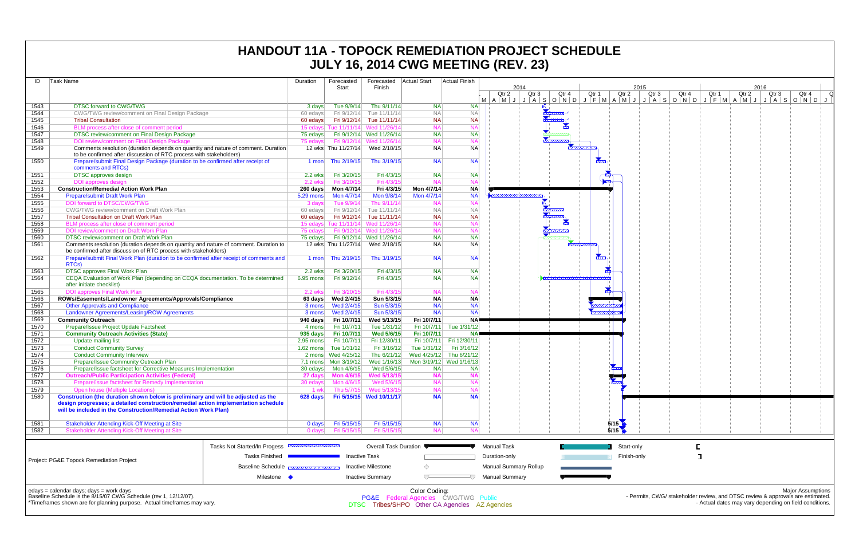| ID   | Task Name                                                                                                                                                                                                                                  | Duration       | Forecasted           | Forecasted                                 | <b>Actual Start</b>                                                                                     | Actual Finish           |                                                                          |       |               |               |       |       |       |       |                          |                                                                                                                                                                      |
|------|--------------------------------------------------------------------------------------------------------------------------------------------------------------------------------------------------------------------------------------------|----------------|----------------------|--------------------------------------------|---------------------------------------------------------------------------------------------------------|-------------------------|--------------------------------------------------------------------------|-------|---------------|---------------|-------|-------|-------|-------|--------------------------|----------------------------------------------------------------------------------------------------------------------------------------------------------------------|
|      |                                                                                                                                                                                                                                            |                | Start                | Finish                                     |                                                                                                         |                         | 2014<br>Qtr 2<br>Qtr <sub>3</sub><br>MAMJJASONDJFMAMJJASONDJFMAMJJASONDJ | Qtr 4 | Qtr 1         | 2015<br>Qtr 2 | Qtr 3 | Qtr 4 | Qtr 1 | Qtr 2 | 2016<br>Qtr <sub>3</sub> | Qtr 4<br>Q                                                                                                                                                           |
| 1543 | <b>DTSC forward to CWG/TWG</b>                                                                                                                                                                                                             | 3 days         | Tue 9/9/14           | Thu 9/11/14                                | <b>NA</b>                                                                                               | <b>NA</b>               |                                                                          |       |               |               |       |       |       |       |                          |                                                                                                                                                                      |
| 1544 | CWG/TWG review/comment on Final Design Package                                                                                                                                                                                             | 60 edays       |                      | Fri 9/12/14 Tue 11/11/14                   | <b>NA</b>                                                                                               | <b>NA</b>               |                                                                          |       |               |               |       |       |       |       |                          |                                                                                                                                                                      |
| 1545 | <b>Tribal Consultation</b>                                                                                                                                                                                                                 | 60 edays       |                      | Fri 9/12/14 Tue 11/11/14                   | <b>NA</b>                                                                                               | <b>NA</b>               |                                                                          |       |               |               |       |       |       |       |                          |                                                                                                                                                                      |
| 1546 | BLM process after close of comment period                                                                                                                                                                                                  |                |                      | 15 edays Tue 11/11/14 Wed 11/26/14         | <b>NA</b>                                                                                               | <b>NA</b>               |                                                                          |       |               |               |       |       |       |       |                          |                                                                                                                                                                      |
| 1547 | DTSC review/comment on Final Design Package                                                                                                                                                                                                |                |                      | 75 edays Fri 9/12/14 Wed 11/26/14          | <b>NA</b>                                                                                               | <b>NA</b>               |                                                                          |       |               |               |       |       |       |       |                          |                                                                                                                                                                      |
| 1548 | DOI review/comment on Final Design Package                                                                                                                                                                                                 | 75 edays       |                      | Fri 9/12/14 Wed 11/26/14                   | <b>NA</b>                                                                                               | <b>NA</b>               |                                                                          |       |               |               |       |       |       |       |                          |                                                                                                                                                                      |
| 1549 | Comments resolution (duration depends on quantity and nature of comment. Duration<br>to be confirmed after discussion of RTC process with stakeholders)                                                                                    |                |                      | 12 wks Thu 11/27/14 Wed 2/18/15            | <b>NA</b>                                                                                               | <b>NA</b>               |                                                                          |       |               |               |       |       |       |       |                          |                                                                                                                                                                      |
| 1550 | Prepare/submit Final Design Package (duration to be confirmed after receipt of<br>comments and RTCs)                                                                                                                                       | 1 mon          | Thu 2/19/15          | Thu 3/19/15                                | <b>NA</b>                                                                                               | <b>NA</b>               |                                                                          |       | <b>Room</b>   |               |       |       |       |       |                          |                                                                                                                                                                      |
| 1551 | <b>DTSC</b> approves design                                                                                                                                                                                                                | 2.2 wks        | Fri 3/20/15          | Fri 4/3/15                                 | <b>NA</b>                                                                                               | <b>NA</b>               |                                                                          |       |               |               |       |       |       |       |                          |                                                                                                                                                                      |
| 1552 | <b>DOI</b> approves design                                                                                                                                                                                                                 | 2.2 wks        | Fri 3/20/15          | Fri 4/3/15                                 | <b>NA</b>                                                                                               | N/                      |                                                                          |       |               |               |       |       |       |       |                          |                                                                                                                                                                      |
| 1553 | <b>Construction/Remedial Action Work Plan</b>                                                                                                                                                                                              | 260 days       | Mon 4/7/14           | Fri 4/3/15                                 | Mon 4/7/14                                                                                              | <b>NA</b>               |                                                                          |       |               |               |       |       |       |       |                          |                                                                                                                                                                      |
| 1554 | Prepare/submit Draft Work Plan                                                                                                                                                                                                             | 5.29 mons      | Mon 4/7/14           | Mon 9/8/14                                 | Mon 4/7/14                                                                                              | <b>NA</b>               |                                                                          |       |               |               |       |       |       |       |                          |                                                                                                                                                                      |
| 1555 | DOI forward to DTSC/CWG/TWG                                                                                                                                                                                                                | 3 days         | Tue 9/9/14           | Thu 9/11/14                                | <b>NA</b>                                                                                               |                         |                                                                          |       |               |               |       |       |       |       |                          |                                                                                                                                                                      |
| 1556 | CWG/TWG review/comment on Draft Work Plan                                                                                                                                                                                                  | 60 edays       |                      | Fri 9/12/14 Tue 11/11/14                   | <b>NA</b>                                                                                               | <b>NA</b>               |                                                                          |       |               |               |       |       |       |       |                          |                                                                                                                                                                      |
| 1557 | <b>Tribal Consultation on Draft Work Plan</b>                                                                                                                                                                                              |                |                      | 60 edays Fri 9/12/14 Tue 11/11/14          | <b>NA</b>                                                                                               | <b>NA</b>               |                                                                          |       |               |               |       |       |       |       |                          |                                                                                                                                                                      |
| 1558 | BLM process after close of comment period                                                                                                                                                                                                  |                |                      | 15 edays Tue 11/11/14 Wed 11/26/14         | <b>NA</b>                                                                                               |                         |                                                                          |       |               |               |       |       |       |       |                          |                                                                                                                                                                      |
| 1559 | DOI review/comment on Draft Work Plan                                                                                                                                                                                                      | 75 edays       |                      | Fri 9/12/14 Wed 11/26/14                   | <b>NA</b>                                                                                               | N/                      |                                                                          |       |               |               |       |       |       |       |                          |                                                                                                                                                                      |
| 1560 | DTSC review/comment on Draft Work Plan                                                                                                                                                                                                     | 75 edays       |                      | Fri 9/12/14 Wed 11/26/14                   | <b>NA</b>                                                                                               | <b>NA</b>               |                                                                          |       |               |               |       |       |       |       |                          |                                                                                                                                                                      |
| 1561 | Comments resolution (duration depends on quantity and nature of comment. Duration to                                                                                                                                                       |                |                      | 12 wks Thu 11/27/14 Wed 2/18/15            | <b>NA</b>                                                                                               | <b>NA</b>               |                                                                          |       |               |               |       |       |       |       |                          |                                                                                                                                                                      |
| 1562 | be confirmed after discussion of RTC process with stakeholders)<br>Prepare/submit Final Work Plan (duration to be confirmed after receipt of comments and                                                                                  | 1 mon          | Thu 2/19/15          | Thu 3/19/15                                | <b>NA</b>                                                                                               | <b>NA</b>               |                                                                          |       | $\frac{1}{2}$ |               |       |       |       |       |                          |                                                                                                                                                                      |
|      | RTCs)                                                                                                                                                                                                                                      |                |                      |                                            |                                                                                                         |                         |                                                                          |       |               |               |       |       |       |       |                          |                                                                                                                                                                      |
| 1563 | <b>DTSC approves Final Work Plan</b>                                                                                                                                                                                                       | 2.2 wks        | Fri 3/20/15          | Fri 4/3/15                                 | <b>NA</b>                                                                                               | <b>NA</b>               |                                                                          |       |               |               |       |       |       |       |                          |                                                                                                                                                                      |
| 1564 | CEQA Evaluation of Work Plan (depending on CEQA documentation. To be determined<br>after initiate checklist)                                                                                                                               | $6.95$ mons    | Fri 9/12/14          | Fri 4/3/15                                 | <b>NA</b>                                                                                               | <b>NA</b>               |                                                                          |       |               |               |       |       |       |       |                          |                                                                                                                                                                      |
| 1565 | <b>DOI approves Final Work Plan</b>                                                                                                                                                                                                        | <b>2.2 wks</b> | Fri 3/20/15          | Fri 4/3/15                                 | <b>NA</b>                                                                                               | N <sub>l</sub>          |                                                                          |       |               |               |       |       |       |       |                          |                                                                                                                                                                      |
| 1566 | ROWs/Easements/Landowner Agreements/Approvals/Compliance                                                                                                                                                                                   | 63 days        | Wed 2/4/15           | Sun 5/3/15                                 | <b>NA</b>                                                                                               | <b>NA</b>               |                                                                          |       |               |               |       |       |       |       |                          |                                                                                                                                                                      |
| 1567 | <b>Other Approvals and Compliance</b>                                                                                                                                                                                                      | 3 mons         | Wed 2/4/15           | Sun 5/3/15                                 | <b>NA</b>                                                                                               | <b>NA</b>               |                                                                          |       |               |               |       |       |       |       |                          |                                                                                                                                                                      |
| 1568 | Landowner Agreements/Leasing/ROW Agreements                                                                                                                                                                                                | 3 mons         | Wed 2/4/15           | Sun 5/3/15                                 | <b>NA</b>                                                                                               | <b>NA</b>               |                                                                          |       |               |               |       |       |       |       |                          |                                                                                                                                                                      |
| 1569 | <b>Community Outreach</b>                                                                                                                                                                                                                  | 940 days       | Fri 10/7/11          | Wed 5/13/15                                | Fri 10/7/11                                                                                             | <b>NA</b>               |                                                                          |       |               |               |       |       |       |       |                          |                                                                                                                                                                      |
| 1570 | Prepare/Issue Project Update Factsheet                                                                                                                                                                                                     | 4 mons         | Fri 10/7/11          | Tue 1/31/12                                | Fri 10/7/11                                                                                             | Tue 1/31/12             |                                                                          |       |               |               |       |       |       |       |                          |                                                                                                                                                                      |
| 1571 | <b>Community Outreach Activities (State)</b>                                                                                                                                                                                               | $935$ days     | <b>Fri 10/7/11</b>   | Wed 5/6/15                                 | Fri 10/7/11                                                                                             | <b>NA</b>               |                                                                          |       |               |               |       |       |       |       |                          |                                                                                                                                                                      |
| 1572 | Update mailing list                                                                                                                                                                                                                        | $2.95$ mons    | Fri 10/7/11          | Fri 12/30/11                               |                                                                                                         | Fri 10/7/11 Fri 12/30/1 |                                                                          |       |               |               |       |       |       |       |                          |                                                                                                                                                                      |
| 1573 | <b>Conduct Community Survey</b>                                                                                                                                                                                                            | $1.62$ mons    | Tue 1/31/12          | Fri 3/16/12                                | Tue 1/31/12                                                                                             | Fri 3/16/12             |                                                                          |       |               |               |       |       |       |       |                          |                                                                                                                                                                      |
| 1574 | <b>Conduct Community Interview</b>                                                                                                                                                                                                         | 2 mons         | Wed 4/25/12          | Thu 6/21/12                                | Wed 4/25/12                                                                                             | Thu 6/21/12             |                                                                          |       |               |               |       |       |       |       |                          |                                                                                                                                                                      |
| 1575 | Prepare/Issue Community Outreach Plan                                                                                                                                                                                                      |                | 7.1 mons Mon 3/19/12 | Wed 1/16/13                                |                                                                                                         | Mon 3/19/12 Wed 1/16/13 |                                                                          |       |               |               |       |       |       |       |                          |                                                                                                                                                                      |
| 1576 | Prepare/Issue factsheet for Corrective Measures Implementation                                                                                                                                                                             |                |                      | Wed 5/6/15                                 | <b>NA</b>                                                                                               | <b>NA</b>               |                                                                          |       |               |               |       |       |       |       |                          |                                                                                                                                                                      |
| 1577 | <b>Outreach/Public Participation Activities (Federal)</b>                                                                                                                                                                                  |                |                      | 27 days    Mon    4/6/15    Wed    5/13/15 | <b>NA</b>                                                                                               |                         |                                                                          |       |               |               |       |       |       |       |                          |                                                                                                                                                                      |
| 1578 | Prepare/issue factsheet for Remedy Implementation                                                                                                                                                                                          | 30 edays       | Mon 4/6/15           | Wed 5/6/15                                 | <b>NA</b>                                                                                               | N                       |                                                                          |       |               |               |       |       |       |       |                          |                                                                                                                                                                      |
| 1579 | Open house (Multiple Locations)                                                                                                                                                                                                            | 1 wk           | Thu 5/7/15           | Wed 5/13/15                                | <b>NA</b>                                                                                               | N/                      |                                                                          |       |               |               |       |       |       |       |                          |                                                                                                                                                                      |
| 1580 | Construction (the duration shown below is preliminary and will be adjusted as the<br>design progresses; a detailed construction/remedial action implementation schedule<br>will be included in the Construction/Remedial Action Work Plan) | 628 days       |                      | Fri 5/15/15 Wed 10/11/17                   | <b>NA</b>                                                                                               | <b>NA</b>               |                                                                          |       |               |               |       |       |       |       |                          |                                                                                                                                                                      |
| 1581 | <b>Stakeholder Attending Kick-Off Meeting at Site</b>                                                                                                                                                                                      | 0 days         | Fri 5/15/15          | Fri 5/15/15                                | <b>NA</b>                                                                                               | <b>NA</b>               |                                                                          |       |               | 5/15          |       |       |       |       |                          |                                                                                                                                                                      |
| 1582 | <b>Stakeholder Attending Kick-Off Meeting at Site</b>                                                                                                                                                                                      | 0 days         | Fri 5/15/15          | Fri 5/15/15                                | <b>NA</b>                                                                                               | N/                      |                                                                          |       |               | 5/15          |       |       |       |       |                          |                                                                                                                                                                      |
|      | Tasks Not Started/In Progess                                                                                                                                                                                                               |                |                      | <b>Overall Task Duration</b>               |                                                                                                         |                         | <b>Manual Task</b>                                                       |       |               | Start-only    |       |       |       |       |                          |                                                                                                                                                                      |
|      | <b>Tasks Finished</b><br>Project: PG&E Topock Remediation Project                                                                                                                                                                          |                |                      | <b>Inactive Task</b>                       |                                                                                                         |                         | Duration-only                                                            |       |               | Finish-only   |       |       |       |       |                          |                                                                                                                                                                      |
|      | <b>Baseline Schedule</b>                                                                                                                                                                                                                   |                |                      | Inactive Milestone                         | ◇                                                                                                       |                         | <b>Manual Summary Rollup</b>                                             |       |               |               |       |       |       |       |                          |                                                                                                                                                                      |
|      | Milestone                                                                                                                                                                                                                                  |                |                      | <b>Inactive Summary</b>                    |                                                                                                         |                         | <b>Manual Summary</b>                                                    |       |               |               |       |       |       |       |                          |                                                                                                                                                                      |
|      | edays = calendar days; days = work days<br>Baseline Schedule is the 8/15/07 CWG Schedule (rev 1, 12/12/07).<br>*Timeframes shown are for planning purpose. Actual timeframes may vary.                                                     |                |                      |                                            | Color Coding:<br>PG&E Federal Agencies CWG/TWG Public<br>DTSC Tribes/SHPO Other CA Agencies AZ Agencies |                         |                                                                          |       |               |               |       |       |       |       |                          | <b>Major Assumptions</b><br>- Permits, CWG/ stakeholder review, and DTSC review & approvals are estimated.<br>- Actual dates may vary depending on field conditions. |